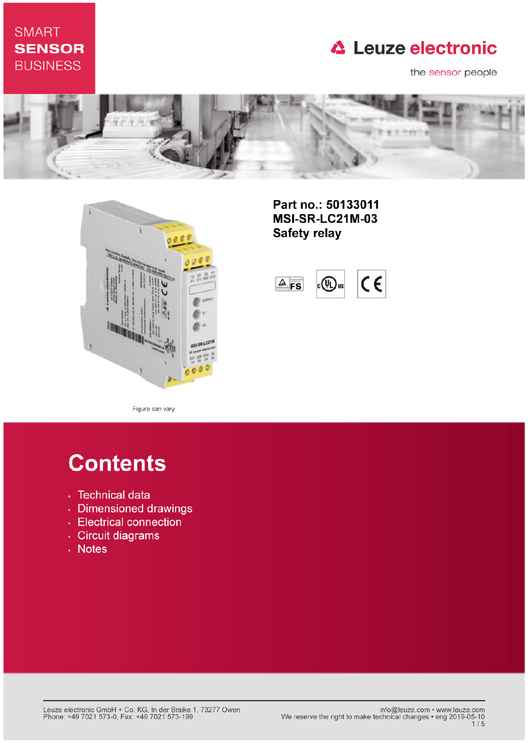## **SMART SENSOR BUSINESS**

## **△ Leuze electronic**

the sensor people





Part no.: 50133011 **MSI-SR-LC21M-03 Safety relay** 

 $\epsilon$  $4$  FS  $(\mathbb{q})$ us

Figure can vary

# **Contents**

- · Technical data
- · Dimensioned drawings
- Electrical connection
- · Circuit diagrams
- . Notes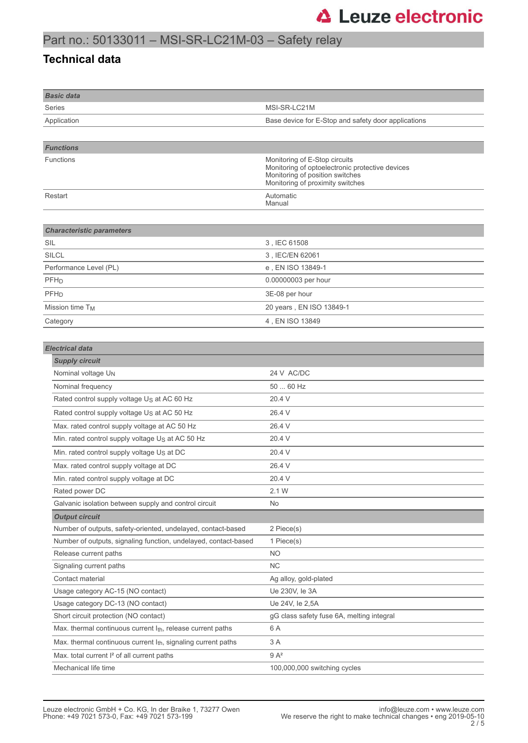### Part no.: 50133011 – MSI-SR-LC21M-03 – Safety relay

#### **Technical data**

| <b>Basic data</b>                                                         |                                                                                                                                                         |
|---------------------------------------------------------------------------|---------------------------------------------------------------------------------------------------------------------------------------------------------|
| Series                                                                    | MSI-SR-LC21M                                                                                                                                            |
| Application                                                               | Base device for E-Stop and safety door applications                                                                                                     |
|                                                                           |                                                                                                                                                         |
| <b>Functions</b>                                                          |                                                                                                                                                         |
| Functions                                                                 | Monitoring of E-Stop circuits<br>Monitoring of optoelectronic protective devices<br>Monitoring of position switches<br>Monitoring of proximity switches |
| Restart                                                                   | Automatic<br>Manual                                                                                                                                     |
| <b>Characteristic parameters</b>                                          |                                                                                                                                                         |
| SIL                                                                       | 3, IEC 61508                                                                                                                                            |
| <b>SILCL</b>                                                              | 3, IEC/EN 62061                                                                                                                                         |
| Performance Level (PL)                                                    | e, EN ISO 13849-1                                                                                                                                       |
| PFH <sub>D</sub>                                                          | 0.00000003 per hour                                                                                                                                     |
| PFH <sub>D</sub>                                                          | 3E-08 per hour                                                                                                                                          |
| Mission time T <sub>M</sub>                                               | 20 years, EN ISO 13849-1                                                                                                                                |
| Category                                                                  | 4, EN ISO 13849                                                                                                                                         |
|                                                                           |                                                                                                                                                         |
| <b>Electrical data</b>                                                    |                                                                                                                                                         |
| <b>Supply circuit</b>                                                     |                                                                                                                                                         |
| Nominal voltage UN                                                        | 24 V AC/DC                                                                                                                                              |
| Nominal frequency                                                         | 50  60 Hz                                                                                                                                               |
| Rated control supply voltage Us at AC 60 Hz                               | 20.4 V                                                                                                                                                  |
| Rated control supply voltage Us at AC 50 Hz                               | 26.4 V                                                                                                                                                  |
| Max. rated control supply voltage at AC 50 Hz                             | 26.4 V                                                                                                                                                  |
| Min. rated control supply voltage Us at AC 50 Hz                          | 20.4 V                                                                                                                                                  |
| Min. rated control supply voltage Us at DC                                | 20.4 V                                                                                                                                                  |
| Max. rated control supply voltage at DC                                   | 26.4 V                                                                                                                                                  |
| Min. rated control supply voltage at DC                                   | 20.4 V                                                                                                                                                  |
| Rated power DC                                                            | 2.1 W                                                                                                                                                   |
| Galvanic isolation between supply and control circuit                     | No                                                                                                                                                      |
| <b>Output circuit</b>                                                     |                                                                                                                                                         |
| Number of outputs, safety-oriented, undelayed, contact-based              | 2 Piece(s)                                                                                                                                              |
| Number of outputs, signaling function, undelayed, contact-based           | 1 Piece(s)                                                                                                                                              |
| Release current paths                                                     | NO.                                                                                                                                                     |
| Signaling current paths                                                   | <b>NC</b>                                                                                                                                               |
| Contact material                                                          | Ag alloy, gold-plated                                                                                                                                   |
| Usage category AC-15 (NO contact)                                         | Ue 230V, le 3A                                                                                                                                          |
| Usage category DC-13 (NO contact)                                         | Ue 24V, le 2,5A                                                                                                                                         |
| Short circuit protection (NO contact)                                     | gG class safety fuse 6A, melting integral                                                                                                               |
| Max. thermal continuous current $I_{th}$ , release current paths          | 6 A                                                                                                                                                     |
| Max. thermal continuous current I <sub>th</sub> , signaling current paths | 3 A                                                                                                                                                     |
| Max. total current I <sup>2</sup> of all current paths                    | $9A^2$                                                                                                                                                  |
| Mechanical life time                                                      | 100,000,000 switching cycles                                                                                                                            |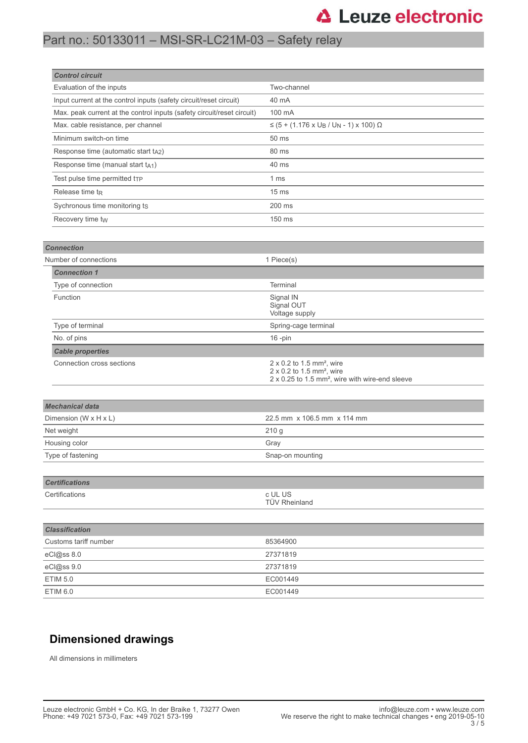## **△ Leuze electronic**

## Part no.: 50133011 – MSI-SR-LC21M-03 – Safety relay

| <b>Control circuit</b>                                                 |                                                                 |
|------------------------------------------------------------------------|-----------------------------------------------------------------|
| Evaluation of the inputs                                               | Two-channel                                                     |
| Input current at the control inputs (safety circuit/reset circuit)     | 40 mA                                                           |
| Max. peak current at the control inputs (safety circuit/reset circuit) | 100 mA                                                          |
| Max. cable resistance, per channel                                     | $≤$ (5 + (1.176 x U <sub>B</sub> / U <sub>N</sub> - 1) x 100) Ω |
| Minimum switch-on time                                                 | 50 ms                                                           |
| Response time (automatic start t <sub>A2</sub> )                       | 80 ms                                                           |
| Response time (manual start $t_{A1}$ )                                 | 40 ms                                                           |
| Test pulse time permitted t <sub>TP</sub>                              | 1 <sub>ms</sub>                                                 |
| Release time t <sub>R</sub>                                            | 15 <sub>ms</sub>                                                |
| Sychronous time monitoring ts                                          | 200 ms                                                          |
| Recovery time tw                                                       | 150 ms                                                          |

| <b>Connection</b>         |                                                                                                                                                      |
|---------------------------|------------------------------------------------------------------------------------------------------------------------------------------------------|
| Number of connections     | 1 Piece(s)                                                                                                                                           |
| <b>Connection 1</b>       |                                                                                                                                                      |
| Type of connection        | Terminal                                                                                                                                             |
| Function                  | Signal IN<br>Signal OUT<br>Voltage supply                                                                                                            |
| Type of terminal          | Spring-cage terminal                                                                                                                                 |
| No. of pins               | $16$ -pin                                                                                                                                            |
| <b>Cable properties</b>   |                                                                                                                                                      |
| Connection cross sections | $2 \times 0.2$ to 1.5 mm <sup>2</sup> , wire<br>2 x 0.2 to 1.5 mm <sup>2</sup> , wire<br>2 x 0.25 to 1.5 mm <sup>2</sup> , wire with wire-end sleeve |
|                           |                                                                                                                                                      |
| <b>Mechanical data</b>    |                                                                                                                                                      |
| Dimension (W x H x L)     | 22.5 mm x 106.5 mm x 114 mm                                                                                                                          |
| Net weight                | 210 <sub>g</sub>                                                                                                                                     |
| Housing color             | Gray                                                                                                                                                 |
| Type of fastening         | Snap-on mounting                                                                                                                                     |
|                           |                                                                                                                                                      |
| <b>Certifications</b>     |                                                                                                                                                      |
| Certifications            | c UL US<br><b>TÜV Rheinland</b>                                                                                                                      |
|                           |                                                                                                                                                      |
| <b>Classification</b>     |                                                                                                                                                      |
| Customs tariff number     | 85364900                                                                                                                                             |
| eCl@ss 8.0                | 27371819                                                                                                                                             |
| eCl@ss 9.0                | 27371819                                                                                                                                             |

#### **Dimensioned drawings**

All dimensions in millimeters

ETIM 5.0 **EC001449** ETIM 6.0 EC001449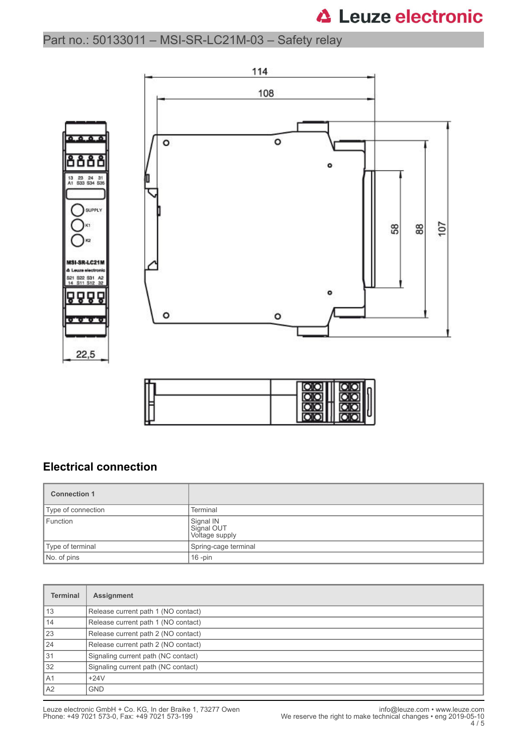## **△ Leuze electronic**

### Part no.: 50133011 – MSI-SR-LC21M-03 – Safety relay



| ŀ |  |  |  |
|---|--|--|--|
|   |  |  |  |

#### **Electrical connection**

| <b>Connection 1</b> |                                           |
|---------------------|-------------------------------------------|
| Type of connection  | Terminal                                  |
| Function            | Signal IN<br>Signal OUT<br>Voltage supply |
| Type of terminal    | Spring-cage terminal                      |
| No. of pins         | $16$ -pin                                 |

| <b>Terminal</b> | <b>Assignment</b>                   |
|-----------------|-------------------------------------|
| 13              | Release current path 1 (NO contact) |
| 14              | Release current path 1 (NO contact) |
| 23              | Release current path 2 (NO contact) |
| 24              | Release current path 2 (NO contact) |
| 31              | Signaling current path (NC contact) |
| 32              | Signaling current path (NC contact) |
| l A1            | $+24V$                              |
| A2              | <b>GND</b>                          |